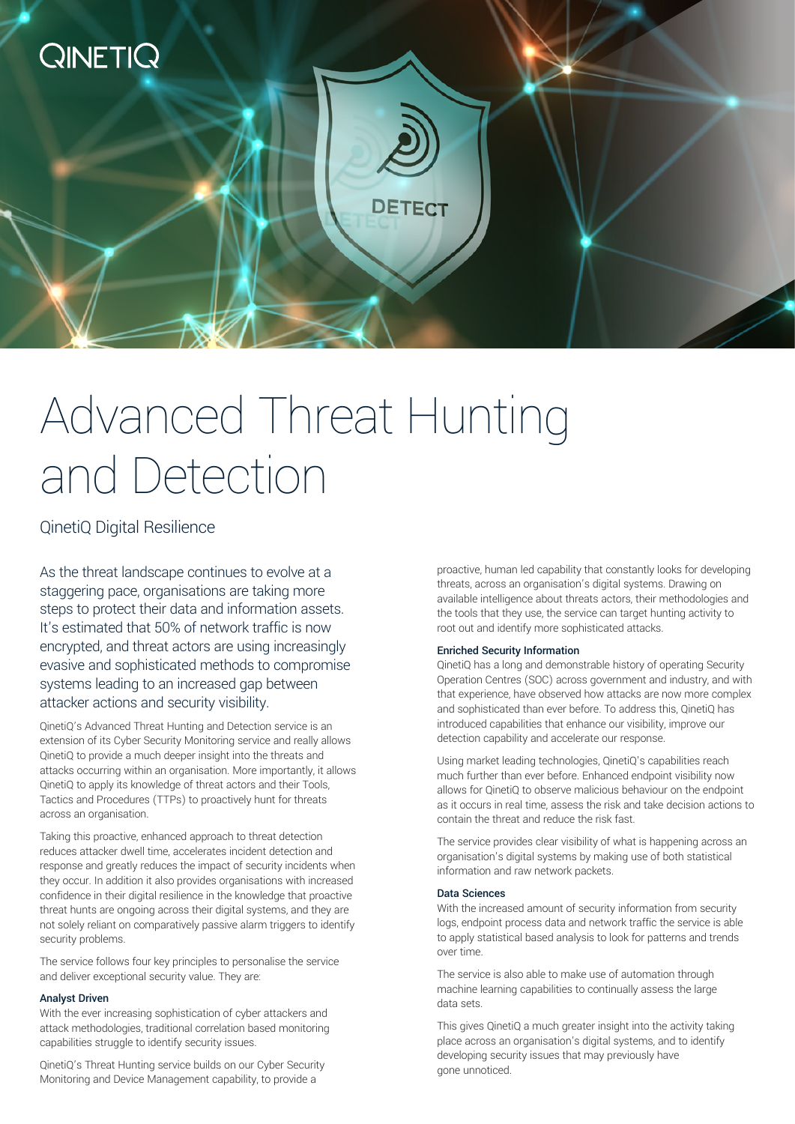

# Advanced Threat Hunting and Detection

### QinetiQ Digital Resilience

As the threat landscape continues to evolve at a staggering pace, organisations are taking more steps to protect their data and information assets. It's estimated that 50% of network traffic is now encrypted, and threat actors are using increasingly evasive and sophisticated methods to compromise systems leading to an increased gap between attacker actions and security visibility.

QinetiQ's Advanced Threat Hunting and Detection service is an extension of its Cyber Security Monitoring service and really allows QinetiQ to provide a much deeper insight into the threats and attacks occurring within an organisation. More importantly, it allows QinetiQ to apply its knowledge of threat actors and their Tools, Tactics and Procedures (TTPs) to proactively hunt for threats across an organisation.

Taking this proactive, enhanced approach to threat detection reduces attacker dwell time, accelerates incident detection and response and greatly reduces the impact of security incidents when they occur. In addition it also provides organisations with increased confidence in their digital resilience in the knowledge that proactive threat hunts are ongoing across their digital systems, and they are not solely reliant on comparatively passive alarm triggers to identify security problems.

The service follows four key principles to personalise the service and deliver exceptional security value. They are:

#### Analyst Driven

With the ever increasing sophistication of cyber attackers and attack methodologies, traditional correlation based monitoring capabilities struggle to identify security issues.

QinetiQ's Threat Hunting service builds on our Cyber Security Monitoring and Device Management capability, to provide a

proactive, human led capability that constantly looks for developing threats, across an organisation's digital systems. Drawing on available intelligence about threats actors, their methodologies and the tools that they use, the service can target hunting activity to root out and identify more sophisticated attacks.

#### Enriched Security Information

QinetiQ has a long and demonstrable history of operating Security Operation Centres (SOC) across government and industry, and with that experience, have observed how attacks are now more complex and sophisticated than ever before. To address this, QinetiQ has introduced capabilities that enhance our visibility, improve our detection capability and accelerate our response.

Using market leading technologies, QinetiQ's capabilities reach much further than ever before. Enhanced endpoint visibility now allows for QinetiQ to observe malicious behaviour on the endpoint as it occurs in real time, assess the risk and take decision actions to contain the threat and reduce the risk fast.

The service provides clear visibility of what is happening across an organisation's digital systems by making use of both statistical information and raw network packets.

#### Data Sciences

With the increased amount of security information from security logs, endpoint process data and network traffic the service is able to apply statistical based analysis to look for patterns and trends over time.

The service is also able to make use of automation through machine learning capabilities to continually assess the large data sets.

This gives QinetiQ a much greater insight into the activity taking place across an organisation's digital systems, and to identify developing security issues that may previously have gone unnoticed.